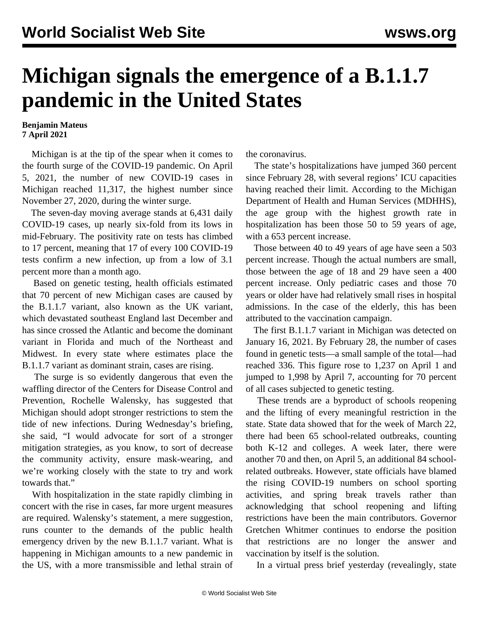## **Michigan signals the emergence of a B.1.1.7 pandemic in the United States**

## **Benjamin Mateus 7 April 2021**

 Michigan is at the tip of the spear when it comes to the fourth surge of the COVID-19 pandemic. On April 5, 2021, the number of new COVID-19 cases in Michigan reached 11,317, the highest number since November 27, 2020, during the winter surge.

 The seven-day moving average stands at 6,431 daily COVID-19 cases, up nearly six-fold from its lows in mid-February. The positivity rate on tests has climbed to 17 percent, meaning that 17 of every 100 COVID-19 tests confirm a new infection, up from a low of 3.1 percent more than a month ago.

 Based on genetic testing, health officials estimated that 70 percent of new Michigan cases are caused by the B.1.1.7 variant, also known as the UK variant, which devastated southeast England last December and has since crossed the Atlantic and become the dominant variant in Florida and much of the Northeast and Midwest. In every state where estimates place the B.1.1.7 variant as dominant strain, cases are rising.

 The surge is so evidently dangerous that even the waffling director of the Centers for Disease Control and Prevention, Rochelle Walensky, has suggested that Michigan should adopt stronger restrictions to stem the tide of new infections. During Wednesday's briefing, she said, "I would advocate for sort of a stronger mitigation strategies, as you know, to sort of decrease the community activity, ensure mask-wearing, and we're working closely with the state to try and work towards that."

 With hospitalization in the state rapidly climbing in concert with the rise in cases, far more urgent measures are required. Walensky's statement, a mere suggestion, runs counter to the demands of the public health emergency driven by the new B.1.1.7 variant. What is happening in Michigan amounts to a new pandemic in the US, with a more transmissible and lethal strain of the coronavirus.

 The state's hospitalizations have jumped 360 percent since February 28, with several regions' ICU capacities having reached their limit. According to the Michigan Department of Health and Human Services (MDHHS), the age group with the highest growth rate in hospitalization has been those 50 to 59 years of age, with a 653 percent increase.

 Those between 40 to 49 years of age have seen a 503 percent increase. Though the actual numbers are small, those between the age of 18 and 29 have seen a 400 percent increase. Only pediatric cases and those 70 years or older have had relatively small rises in hospital admissions. In the case of the elderly, this has been attributed to the vaccination campaign.

 The first B.1.1.7 variant in Michigan was detected on January 16, 2021. By February 28, the number of cases found in genetic tests—a small sample of the total—had reached 336. This figure rose to 1,237 on April 1 and jumped to 1,998 by April 7, accounting for 70 percent of all cases subjected to genetic testing.

 These trends are a byproduct of schools reopening and the lifting of every meaningful restriction in the state. State data showed that for the week of March 22, there had been 65 school-related outbreaks, counting both K-12 and colleges. A week later, there were another 70 and then, on April 5, an additional 84 schoolrelated outbreaks. However, state officials have blamed the rising COVID-19 numbers on school sporting activities, and spring break travels rather than acknowledging that school reopening and lifting restrictions have been the main contributors. Governor Gretchen Whitmer continues to endorse the position that restrictions are no longer the answer and vaccination by itself is the solution.

In a virtual press brief yesterday (revealingly, state